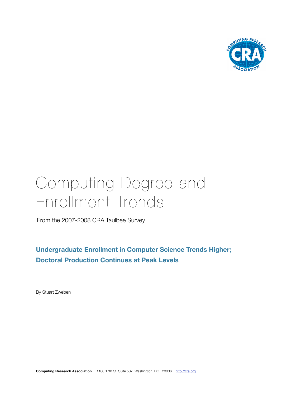

# Computing Degree and Enrollment Trends

From the 2007-2008 CRA Taulbee Survey

**Undergraduate Enrollment in Computer Science Trends Higher; Doctoral Production Continues at Peak Levels**

By Stuart Zweben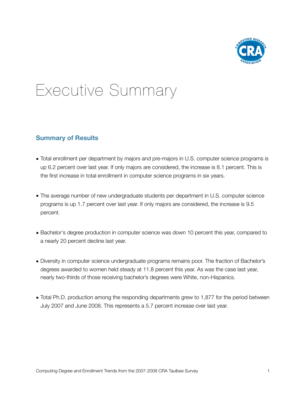

# Executive Summary

# **Summary of Results**

- Total enrollment per department by majors and pre-majors in U.S. computer science programs is up 6.2 percent over last year. If only majors are considered, the increase is 8.1 percent. This is the first increase in total enrollment in computer science programs in six years.
- The average number of new undergraduate students per department in U.S. computer science programs is up 1.7 percent over last year. If only majors are considered, the increase is 9.5 percent.
- Bachelor's degree production in computer science was down 10 percent this year, compared to a nearly 20 percent decline last year.
- Diversity in computer science undergraduate programs remains poor. The fraction of Bachelor's degrees awarded to women held steady at 11.8 percent this year. As was the case last year, nearly two-thirds of those receiving bachelor's degrees were White, non-Hispanics.
- Total Ph.D. production among the responding departments grew to 1,877 for the period between July 2007 and June 2008. This represents a 5.7 percent increase over last year.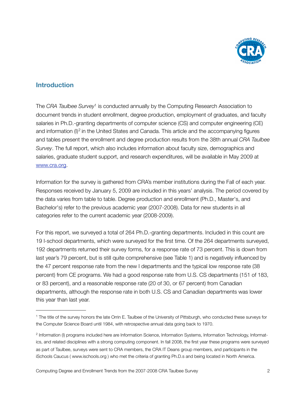

# **Introduction**

The *CRA Taulbee Survey*[1](#page-2-0) is conducted annually by the Computing Research Association to document trends in student enrollment, degree production, employment of graduates, and faculty salaries in Ph.D.-granting departments of computer science (CS) and computer engineering (CE) and information (I)<sup>[2](#page-2-1)</sup> in the United States and Canada. This article and the accompanying figures and tables present the enrollment and degree production results from the 38th annual *CRA Taulbee Survey*. The full report, which also includes information about faculty size, demographics and salaries, graduate student support, and research expenditures, will be available in May 2009 at [www.cra.org.](http://www.cra.org)

Information for the survey is gathered from CRA's member institutions during the Fall of each year. Responses received by January 5, 2009 are included in this years' analysis. The period covered by the data varies from table to table. Degree production and enrollment (Ph.D., Master's, and Bachelor's) refer to the previous academic year (2007-2008). Data for new students in all categories refer to the current academic year (2008-2009).

For this report, we surveyed a total of 264 Ph.D.-granting departments. Included in this count are 19 I-school departments, which were surveyed for the first time. Of the 264 departments surveyed, 192 departments returned their survey forms, for a response rate of 73 percent. This is down from last year's 79 percent, but is still quite comprehensive (see Table 1) and is negatively influenced by the 47 percent response rate from the new I departments and the typical low response rate (38 percent) from CE programs. We had a good response rate from U.S. CS departments (151 of 183, or 83 percent), and a reasonable response rate (20 of 30, or 67 percent) from Canadian departments, although the response rate in both U.S. CS and Canadian departments was lower this year than last year.

<span id="page-2-0"></span><sup>1</sup> The title of the survey honors the late Orrin E. Taulbee of the University of Pittsburgh, who conducted these surveys for the Computer Science Board until 1984, with retrospective annual data going back to 1970.

<span id="page-2-1"></span><sup>&</sup>lt;sup>2</sup> Information (I) programs included here are Information Science, Information Systems, Information Technology, Informatics, and related disciplines with a strong computing component. In fall 2008, the first year these programs were surveyed as part of Taulbee, surveys were sent to CRA members, the CRA IT Deans group members, and participants in the iSchools Caucus ( [www.ischools.org](http://www.ischools.org) ) who met the criteria of granting Ph.D.s and being located in North America.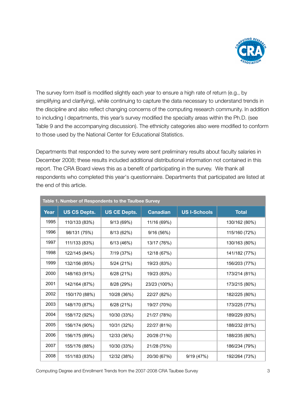

The survey form itself is modified slightly each year to ensure a high rate of return (e.g., by simplifying and clarifying), while continuing to capture the data necessary to understand trends in the discipline and also reflect changing concerns of the computing research community. In addition to including I departments, this year's survey modified the specialty areas within the Ph.D. (see Table 9 and the accompanying discussion). The ethnicity categories also were modified to conform to those used by the National Center for Educational Statistics.

Departments that responded to the survey were sent preliminary results about faculty salaries in December 2008; these results included additional distributional information not contained in this report. The CRA Board views this as a benefit of participating in the survey. We thank all respondents who completed this year's questionnaire. Departments that participated are listed at the end of this article.

|      | Table 1. Number of Respondents to the Taulbee Survey |                     |                 |                     |               |  |  |  |  |  |  |  |  |
|------|------------------------------------------------------|---------------------|-----------------|---------------------|---------------|--|--|--|--|--|--|--|--|
| Year | <b>US CS Depts.</b>                                  | <b>US CE Depts.</b> | <b>Canadian</b> | <b>US I-Schools</b> | <b>Total</b>  |  |  |  |  |  |  |  |  |
| 1995 | 110/133 (83%)                                        | 9/13(69%)           | 11/16 (69%)     |                     | 130/162 (80%) |  |  |  |  |  |  |  |  |
| 1996 | 98/131 (75%)                                         | 8/13 (62%)          | 9/16(56%)       |                     | 115/160 (72%) |  |  |  |  |  |  |  |  |
| 1997 | 111/133 (83%)                                        | 6/13(46%)           | 13/17 (76%)     |                     | 130/163 (80%) |  |  |  |  |  |  |  |  |
| 1998 | 122/145 (84%)                                        | 7/19 (37%)          | 12/18 (67%)     |                     | 141/182 (77%) |  |  |  |  |  |  |  |  |
| 1999 | 132/156 (85%)                                        | 5/24(21%)           | 19/23 (83%)     |                     | 156/203 (77%) |  |  |  |  |  |  |  |  |
| 2000 | 148/163 (91%)                                        | 6/28 (21%)          | 19/23 (83%)     |                     | 173/214 (81%) |  |  |  |  |  |  |  |  |
| 2001 | 142/164 (87%)                                        | 8/28 (29%)          | 23/23 (100%)    |                     | 173/215 (80%) |  |  |  |  |  |  |  |  |
| 2002 | 150/170 (88%)                                        | 10/28 (36%)         | 22/27 (82%)     |                     | 182/225 (80%) |  |  |  |  |  |  |  |  |
| 2003 | 148/170 (87%)                                        | 6/28(21%)           | 19/27 (70%)     |                     | 173/225 (77%) |  |  |  |  |  |  |  |  |
| 2004 | 158/172 (92%)                                        | 10/30 (33%)         | 21/27 (78%)     |                     | 189/229 (83%) |  |  |  |  |  |  |  |  |
| 2005 | 156/174 (90%)                                        | 10/31 (32%)         | 22/27 (81%)     |                     | 188/232 (81%) |  |  |  |  |  |  |  |  |
| 2006 | 156/175 (89%)                                        | 12/33 (36%)         | 20/28 (71%)     |                     | 188/235 (80%) |  |  |  |  |  |  |  |  |
| 2007 | 155/176 (88%)                                        | 10/30 (33%)         | 21/28 (75%)     |                     | 186/234 (79%) |  |  |  |  |  |  |  |  |
| 2008 | 151/183 (83%)                                        | 12/32 (38%)         | 20/30 (67%)     | 9/19 (47%)          | 192/264 (73%) |  |  |  |  |  |  |  |  |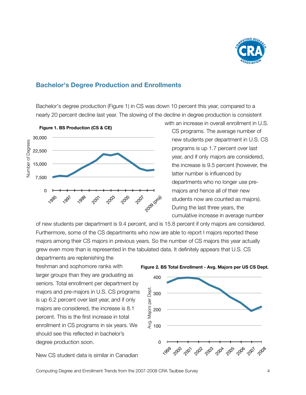

#### **Bachelor's Degree Production and Enrollments**

Bachelor's degree production (Figure 1) in CS was down 10 percent this year, compared to a nearly 20 percent decline last year. The slowing of the decline in degree production is consistent



with an increase in overall enrollment in U.S. CS programs. The average number of new students per department in U.S. CS programs is up 1.7 percent over last year, and if only majors are considered, the increase is 9.5 percent (however, the latter number is influenced by departments who no longer use premajors and hence all of their new students now are counted as majors). During the last three years, the cumulative increase in average number

of new students per department is 9.4 percent, and is 15.8 percent if only majors are considered. Furthermore, some of the CS departments who now are able to report I majors reported these majors among their CS majors in previous years. So the number of CS majors this year actually grew even more than is represented in the tabulated data. It definitely appears that U.S. CS departments are replenishing the

freshman and sophomore ranks with larger groups than they are graduating as seniors. Total enrollment per department by majors and pre-majors in U.S. CS programs is up 6.2 percent over last year, and if only majors are considered, the increase is 8.1 percent. This is the first increase in total enrollment in CS programs in six years. We should see this reflected in bachelor's degree production soon.

New CS student data is similar in Canadian





Computing Degree and Enrollment Trends from the 2007-2008 CRA Taulbee Survey 4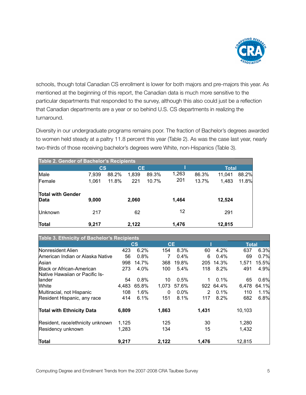

schools, though total Canadian CS enrollment is lower for both majors and pre-majors this year. As mentioned at the beginning of this report, the Canadian data is much more sensitive to the particular departments that responded to the survey, although this also could just be a reflection that Canadian departments are a year or so behind U.S. CS departments in realizing the turnaround.

Diversity in our undergraduate programs remains poor. The fraction of Bachelor's degrees awarded to women held steady at a paltry 11.8 percent this year (Table 2). As was the case last year, nearly two-thirds of those receiving bachelor's degrees were White, non-Hispanics (Table 3).

| Table 2. Gender of Bachelor's Recipients |                        |                |              |                |              |                |                 |                |  |  |  |  |  |
|------------------------------------------|------------------------|----------------|--------------|----------------|--------------|----------------|-----------------|----------------|--|--|--|--|--|
|                                          | $\mathbf{c}\mathbf{s}$ |                | <b>CE</b>    |                |              |                | <b>Total</b>    |                |  |  |  |  |  |
| Male<br>Female                           | 7,939<br>1,061         | 88.2%<br>11.8% | 1,839<br>221 | 89.3%<br>10.7% | 1,263<br>201 | 86.3%<br>13.7% | 11.041<br>1,483 | 88.2%<br>11.8% |  |  |  |  |  |
| <b>Total with Gender</b><br><b>Data</b>  | 9,000                  |                | 2,060        |                | 1,464        |                | 12,524          |                |  |  |  |  |  |
| Unknown                                  | 217                    |                | 62           |                | 12           |                | 291             |                |  |  |  |  |  |
| Total                                    | 9,217                  |                | 2,122        |                | 1,476        |                | 12,815          |                |  |  |  |  |  |

| Table 3. Ethnicity of Bachelor's Recipients |       |                        |           |         |       |         |              |       |
|---------------------------------------------|-------|------------------------|-----------|---------|-------|---------|--------------|-------|
|                                             |       | $\mathbf{c}\mathbf{s}$ | <b>CE</b> |         |       |         | <b>Total</b> |       |
| Nonresident Alien                           | 423   | 6.2%                   | 154       | 8.3%    | 60    | 4.2%    | 637          | 6.3%  |
| American Indian or Alaska Native            | 56    | 0.8%                   | 7         | $0.4\%$ | 6     | $0.4\%$ | 69           | 0.7%  |
| Asian                                       | 998   | 14.7%                  | 368       | 19.8%   | 205   | 14.3%   | 1,571        | 15.5% |
| Black or African-American                   | 273   | 4.0%                   | 100       | $5.4\%$ | 118   | 8.2%    | 491          | 4.9%  |
| Native Hawaiian or Pacific Is-              |       |                        |           |         |       |         |              |       |
| llander                                     | 54    | 0.8%                   | 10        | 0.5%    |       | 0.1%    | 65           | 0.6%  |
| <b>White</b>                                | 4,483 | 65.8%                  | 1,073     | 57.6%   | 922   | 64.4%   | 6,478        | 64.1% |
| Multiracial, not Hispanic                   | 108   | 1.6%                   | 0         | 0.0%    | 2     | 0.1%    | 110          | 1.1%  |
| Resident Hispanic, any race                 | 414   | 6.1%                   | 151       | 8.1%    | 117   | 8.2%    | 682          | 6.8%  |
| <b>Total with Ethnicity Data</b>            | 6,809 |                        | 1,863     |         | 1,431 |         | 10,103       |       |
| Resident, race/ethnicity unknown            | 1,125 |                        | 125       |         | 30    |         | 1,280        |       |
| Residency unknown                           | 1,283 |                        | 134       |         | 15    |         | 1,432        |       |
| Total                                       | 9,217 |                        | 2,122     |         | 1,476 |         | 12,815       |       |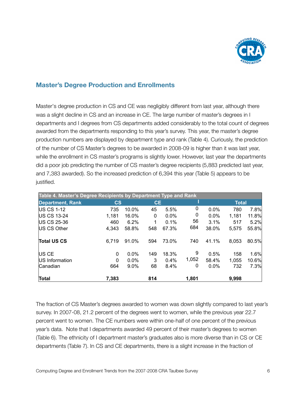

#### **Master's Degree Production and Enrollments**

Master's degree production in CS and CE was negligibly different from last year, although there was a slight decline in CS and an increase in CE. The large number of master's degrees in I departments and I degrees from CS departments added considerably to the total count of degrees awarded from the departments responding to this year's survey. This year, the master's degree production numbers are displayed by department type and rank (Table 4). Curiously, the prediction of the number of CS Master's degrees to be awarded in 2008-09 is higher than it was last year, while the enrollment in CS master's programs is slightly lower. However, last year the departments did a poor job predicting the number of CS master's degree recipients (5,883 predicted last year, and 7,383 awarded). So the increased prediction of 6,394 this year (Table 5) appears to be justified.

| Table 4. Master's Degree Recipients by Department Type and Rank |                        |         |           |       |       |         |              |       |  |  |  |  |  |
|-----------------------------------------------------------------|------------------------|---------|-----------|-------|-------|---------|--------------|-------|--|--|--|--|--|
| <b>Department, Rank</b>                                         | $\mathbf{c}\mathbf{s}$ |         | <b>CE</b> |       |       |         | <b>Total</b> |       |  |  |  |  |  |
| <b>US CS 1-12</b>                                               | 735                    | 10.0%   | 45        | 5.5%  | 0     | 0.0%    | 780          | 7.8%  |  |  |  |  |  |
| <b>IUS CS 13-24</b>                                             | 1,181                  | 16.0%   | 0         | 0.0%  | 0     | $0.0\%$ | 1,181        | 11.8% |  |  |  |  |  |
| US CS 25-36                                                     | 460                    | 6.2%    | 1         | 0.1%  | 56    | 3.1%    | 517          | 5.2%  |  |  |  |  |  |
| US CS Other                                                     | 4,343                  | 58.8%   | 548       | 67.3% | 684   | 38.0%   | 5,575        | 55.8% |  |  |  |  |  |
| <b>Total US CS</b>                                              | 6,719                  | 91.0%   | 594       | 73.0% | 740   | 41.1%   | 8,053        | 80.5% |  |  |  |  |  |
| US CE                                                           | $\Omega$               | 0.0%    | 149       | 18.3% | 9     | 0.5%    | 158          | 1.6%  |  |  |  |  |  |
| US Information                                                  | 0                      | $0.0\%$ | 3         | 0.4%  | 1,052 | 58.4%   | 1,055        | 10.6% |  |  |  |  |  |
| lCanadian                                                       | 664                    | 9.0%    | 68        | 8.4%  | 0     | 0.0%    | 732          | 7.3%  |  |  |  |  |  |
| Total                                                           | 7,383                  |         | 814       |       | 1,801 |         | 9,998        |       |  |  |  |  |  |

The fraction of CS Master's degrees awarded to women was down slightly compared to last year's survey. In 2007-08, 21.2 percent of the degrees went to women, while the previous year 22.7 percent went to women. The CE numbers were within one-half of one percent of the previous year's data. Note that I departments awarded 49 percent of their master's degrees to women (Table 6). The ethnicity of I department master's graduates also is more diverse than in CS or CE departments (Table 7). In CS and CE departments, there is a slight increase in the fraction of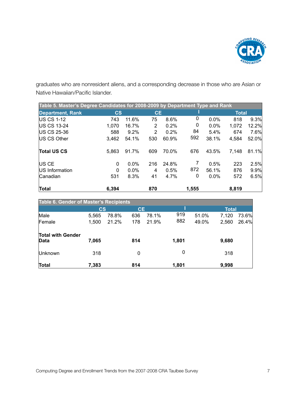

graduates who are nonresident aliens, and a corresponding decrease in those who are Asian or Native Hawaiian/Pacific Islander.

| Table 5. Master's Degree Candidates for 2008-2009 by Department Type and Rank |        |         |           |       |       |         |              |       |  |  |  |  |  |
|-------------------------------------------------------------------------------|--------|---------|-----------|-------|-------|---------|--------------|-------|--|--|--|--|--|
| <b>Department, Rank</b>                                                       | $\csc$ |         | <b>CE</b> |       |       |         | <b>Total</b> |       |  |  |  |  |  |
| <b>IUS CS 1-12</b>                                                            | 743    | 11.6%   | 75        | 8.6%  | 0     | $0.0\%$ | 818          | 9.3%  |  |  |  |  |  |
| <b>IUS CS 13-24</b>                                                           | 1,070  | 16.7%   | 2         | 0.2%  | 0     | $0.0\%$ | 1,072        | 12.2% |  |  |  |  |  |
| US CS 25-36                                                                   | 588    | 9.2%    | 2         | 0.2%  | 84    | 5.4%    | 674          | 7.6%  |  |  |  |  |  |
| US CS Other                                                                   | 3,462  | 54.1%   | 530       | 60.9% | 592   | 38.1%   | 4,584        | 52.0% |  |  |  |  |  |
| <b>Total US CS</b>                                                            | 5,863  | 91.7%   | 609       | 70.0% | 676   | 43.5%   | 7,148        | 81.1% |  |  |  |  |  |
| US CE                                                                         | 0      | 0.0%    | 216       | 24.8% |       | 0.5%    | 223          | 2.5%  |  |  |  |  |  |
| US Information                                                                | 0      | $0.0\%$ | 4         | 0.5%  | 872   | 56.1%   | 876          | 9.9%  |  |  |  |  |  |
| Canadian                                                                      | 531    | 8.3%    | 41        | 4.7%  | 0     | 0.0%    | 572          | 6.5%  |  |  |  |  |  |
| Total                                                                         | 6,394  |         | 870       |       | 1,555 |         | 8,819        |       |  |  |  |  |  |

| <b>Table 6. Gender of Master's Recipients</b> |                        |       |           |       |       |       |              |       |  |  |  |  |  |
|-----------------------------------------------|------------------------|-------|-----------|-------|-------|-------|--------------|-------|--|--|--|--|--|
|                                               | $\mathbf{c}\mathbf{s}$ |       | <b>CE</b> |       |       |       | <b>Total</b> |       |  |  |  |  |  |
| Male                                          | 5,565                  | 78.8% | 636       | 78.1% | 919   | 51.0% | 7,120        | 73.6% |  |  |  |  |  |
| Female                                        | 1,500                  | 21.2% | 178       | 21.9% | 882   | 49.0% | 2,560        | 26.4% |  |  |  |  |  |
| <b>Total with Gender</b><br>Data              | 7,065                  |       | 814       |       | 1,801 |       | 9,680        |       |  |  |  |  |  |
| Unknown                                       | 318                    |       | $\Omega$  |       | 0     |       | 318          |       |  |  |  |  |  |
| Total                                         | 7,383                  |       | 814       |       | 1,801 |       | 9,998        |       |  |  |  |  |  |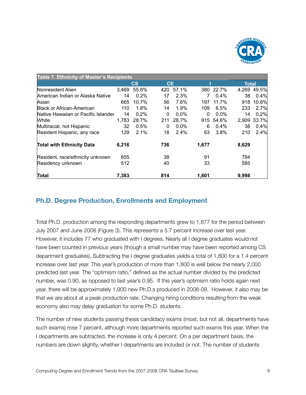

| Table 7. Ethnicity of Master's Recipients |       |         |              |         |       |           |              |             |  |  |  |  |
|-------------------------------------------|-------|---------|--------------|---------|-------|-----------|--------------|-------------|--|--|--|--|
|                                           |       | cs      | <b>CE</b>    |         |       |           | <b>Total</b> |             |  |  |  |  |
| Nonresident Alien                         | 3,469 | 55.8%   | 420          | 57.1%   |       | 380 22.7% |              | 4,269 49.5% |  |  |  |  |
| American Indian or Alaska Native          | 14    | $0.2\%$ | 17           | 2.3%    | 7     | 0.4%      | 38           | 0.4%        |  |  |  |  |
| Asian                                     | 665   | 10.7%   | 56           | 7.6%    | 197   | 11.7%     | 918          | 10.6%       |  |  |  |  |
| <b>Black or African-American</b>          | 110   | 1.8%    | 14           | 1.9%    | 109   | 6.5%      | 233          | 2.7%        |  |  |  |  |
| Native Hawaiian or Pacific Islander       | 14    | 0.2%    | $\mathbf{0}$ | $0.0\%$ | 0     | $0.0\%$   | 14           | 0.2%        |  |  |  |  |
| <b>White</b>                              | 1,783 | 28.7%   | 211          | 28.7%   |       | 915 54.6% | 2,909        | 33.7%       |  |  |  |  |
| Multiracial, not Hispanic                 | 32    | 0.5%    | 0            | $0.0\%$ | 6     | 0.4%      | 38           | 0.4%        |  |  |  |  |
| Resident Hispanic, any race               | 129   | 2.1%    | 18           | 2.4%    | 63    | 3.8%      | 210          | 2.4%        |  |  |  |  |
| <b>Total with Ethnicity Data</b>          | 6,216 |         | 736          |         | 1,677 |           | 8,629        |             |  |  |  |  |
| Resident, race/ethnicity unknown          | 655   |         | 38           |         | 91    |           | 784          |             |  |  |  |  |
| Residency unknown                         | 512   |         | 40           |         | 33    |           | 585          |             |  |  |  |  |
| Total                                     | 7.383 |         | 814          |         | 1.801 |           | 9,998        |             |  |  |  |  |

# **Ph.D. Degree Production, Enrollments and Employment**

Total Ph.D. production among the responding departments grew to 1,877 for the period between July 2007 and June 2008 (Figure 3). This represents a 5.7 percent increase over last year. However, it includes 77 who graduated with I degrees. Nearly all I degree graduates would not have been counted in previous years (though a small number may have been reported among CS department graduates). Subtracting the I degree graduates yields a total of 1,800 for a 1.4 percent increase over last year. This year's production of more than 1,800 is well below the nearly 2,000 predicted last year. The "optimism ratio," defined as the actual number divided by the predicted number, was 0.90, as opposed to last year's 0.95. If this year's optimism ratio holds again next year, there will be approximately 1,900 new Ph.D.s produced in 2008-09. However, it also may be that we are about at a peak production rate. Changing hiring conditions resulting from the weak economy also may delay graduation for some Ph.D. students.

The number of new students passing thesis candidacy exams (most, but not all, departments have such exams) rose 7 percent, although more departments reported such exams this year. When the I departments are subtracted, the increase is only 4 percent. On a per department basis, the numbers are down slightly, whether I departments are included or not. The number of students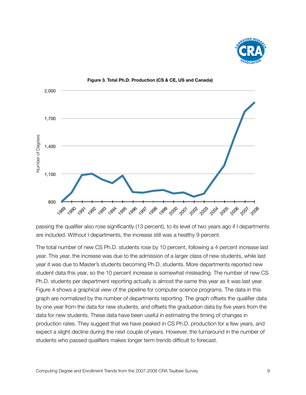





passing the qualifier also rose significantly (13 percent), to its level of two years ago if I departments are included. Without I departments, the increase still was a healthy 9 percent.

The total number of new CS Ph.D. students rose by 10 percent, following a 4 percent increase last year. This year, the increase was due to the admission of a larger class of new students, while last year it was due to Master's students becoming Ph.D. students. More departments reported new student data this year, so the 10 percent increase is somewhat misleading. The number of new CS Ph.D. students per department reporting actually is almost the same this year as it was last year. Figure 4 shows a graphical view of the pipeline for computer science programs. The data in this graph are normalized by the number of departments reporting. The graph offsets the qualifier data by one year from the data for new students, and offsets the graduation data by five years from the data for new students. These data have been useful in estimating the timing of changes in production rates. They suggest that we have peaked in CS Ph.D. production for a few years, and expect a slight decline during the next couple of years. However, the turnaround in the number of students who passed qualifiers makes longer term trends difficult to forecast.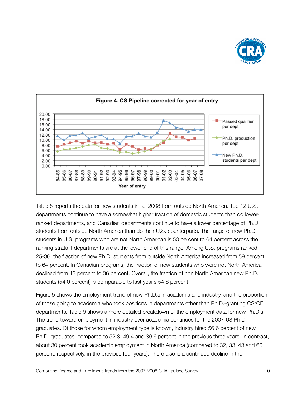



Table 8 reports the data for new students in fall 2008 from outside North America. Top 12 U.S. departments continue to have a somewhat higher fraction of domestic students than do lowerranked departments, and Canadian departments continue to have a lower percentage of Ph.D. students from outside North America than do their U.S. counterparts. The range of new Ph.D. students in U.S. programs who are not North American is 50 percent to 64 percent across the ranking strata. I departments are at the lower end of this range. Among U.S. programs ranked 25-36, the fraction of new Ph.D. students from outside North America increased from 59 percent to 64 percent. In Canadian programs, the fraction of new students who were not North American declined from 43 percent to 36 percent. Overall, the fraction of non North American new Ph.D. students (54.0 percent) is comparable to last year's 54.8 percent.

Figure 5 shows the employment trend of new Ph.D.s in academia and industry, and the proportion of those going to academia who took positions in departments other than Ph.D.-granting CS/CE departments. Table 9 shows a more detailed breakdown of the employment data for new Ph.D.s The trend toward employment in industry over academia continues for the 2007-08 Ph.D. graduates. Of those for whom employment type is known, industry hired 56.6 percent of new Ph.D. graduates, compared to 52.3, 49.4 and 39.6 percent in the previous three years. In contrast, about 30 percent took academic employment in North America (compared to 32, 33, 43 and 60 percent, respectively, in the previous four years). There also is a continued decline in the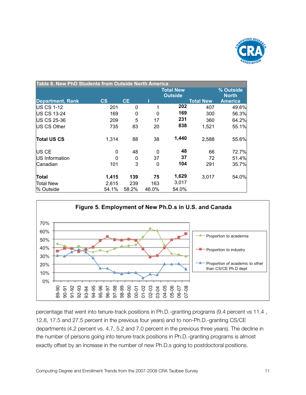

| Table 8. New PhD Students from Outside North America |                        |           |          |                           |                  |                |
|------------------------------------------------------|------------------------|-----------|----------|---------------------------|------------------|----------------|
|                                                      |                        |           |          | % Outside<br><b>North</b> |                  |                |
| <b>Department, Rank</b>                              | $\mathbf{c}\mathbf{s}$ | <b>CE</b> |          |                           | <b>Total New</b> | <b>America</b> |
| <b>IUS CS 1-12</b>                                   | 201                    | 0         | 1        | 202                       | 407              | 49.6%          |
| <b>US CS 13-24</b>                                   | 169                    | 0         | $\Omega$ | 169                       | 300              | 56.3%          |
| US CS 25-36                                          | 209                    | 5         | 17       | 231                       | 360              | 64.2%          |
| US CS Other                                          | 735                    | 83        | 20       | 838                       | 1,521            | 55.1%          |
| <b>Total US CS</b>                                   | 1,314                  | 88        | 38       | 1,440                     | 2,588            | 55.6%          |
| US CE                                                | 0                      | 48        | $\Omega$ | 48                        | 66               | 72.7%          |
| <b>IUS Information</b>                               | 0                      | 0         | 37       | 37                        | 72               | 51.4%          |
| Canadian                                             | 101                    | 3         | 0        | 104                       | 291              | 35.7%          |
| Total                                                | 1,415                  | 139       | 75       | 1,629                     | 3,017            | 54.0%          |
| Total New                                            | 2,615                  | 239       | 163      | 3,017                     |                  |                |
| l% Outside                                           | 54.1%                  | 58.2%     | 46.0%    | 54.0%                     |                  |                |



percentage that went into tenure-track positions in Ph.D.-granting programs (9.4 percent vs 11.4 , 12.8, 17.5 and 27.5 percent in the previous four years) and to non-Ph.D.-granting CS/CE departments (4.2 percent vs. 4.7, 5.2 and 7.0 percent in the previous three years). The decline in the number of persons going into tenure-track positions in Ph.D.-granting programs is almost exactly offset by an increase in the number of new Ph.D.s going to postdoctoral positions.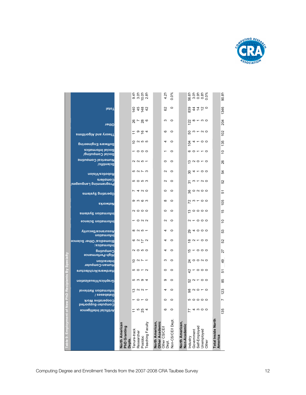

|          |                                                   |                                          |             |                                                 |         |                  |                                   | 4.2%                 | $0.0\%$          |                                        |         |            |               | စ် ၁ ၁ ၁ ၁<br>၁ ၁ ၁ ၁ ၁<br>၆ ၁ ၁ ၁ ၁             |                               | 90.8%          |
|----------|---------------------------------------------------|------------------------------------------|-------------|-------------------------------------------------|---------|------------------|-----------------------------------|----------------------|------------------|----------------------------------------|---------|------------|---------------|--------------------------------------------------|-------------------------------|----------------|
|          | lsto <sub>I</sub>                                 |                                          |             | $rac{4}{5}$ $rac{4}{5}$ $rac{4}{5}$ $rac{4}{5}$ |         |                  |                                   | 62                   | $\circ$          |                                        |         |            |               | 834750                                           |                               | 1346           |
|          | Other                                             |                                          |             | $8 - 80$                                        |         |                  |                                   | S                    | $\circ$          |                                        |         |            |               | $\frac{a}{2}$ $\infty$ $ \infty$ $\infty$        |                               | 204            |
|          | <b>andinoglA</b> bns voedT                        |                                          |             | $5 \circ 54$                                    |         |                  |                                   | $\circ$              | $\circ$          |                                        |         |            |               | $50 - 50$                                        |                               | 102            |
|          |                                                   |                                          |             | $\frac{0}{5}$ $\alpha$ $\omega$ $\alpha$        |         |                  |                                   | 4                    | $\circ$          |                                        | 104     |            |               | $4 - 00$                                         |                               | 135            |
|          | Software Engineering<br><b>Social Informatics</b> |                                          |             | $-$ 000                                         |         |                  |                                   |                      | $\circ$          |                                        |         |            |               | $\circ$ $\circ$ $\circ$ $\circ$                  |                               | ă              |
|          | Social Computing/<br>Numerical Computing          |                                          |             |                                                 |         |                  |                                   | $\circ$              | $\circ$          |                                        |         |            |               |                                                  |                               |                |
|          | Scientific/                                       |                                          |             | $\alpha$ $\alpha$ $\alpha$ $\tau$               |         |                  |                                   |                      |                  |                                        |         |            |               | $\frac{6}{5}$ $\alpha$ $\circ$ $\sim$ $\circ$    |                               | 26             |
|          | <b>Robotics/Vision</b>                            |                                          |             | 5273                                            |         |                  |                                   | $\mathbf{\Omega}$    | $\circ$          |                                        |         |            |               | $84 - 00$                                        |                               | 54             |
|          | Compilers<br>Programming Languagos/               |                                          |             | ro ro co                                        |         |                  |                                   | $\sim$               | $\circ$          |                                        |         |            |               | $\frac{1}{20}$ m $\frac{1}{20}$ m $\frac{1}{20}$ |                               | S              |
|          | Dperating Systems                                 |                                          |             | $\sim$ 4 $\sim$ 0                               |         |                  |                                   | $\circ$              | $\circ$          |                                        |         |            |               | $\frac{6}{5}$ $\circ$ $\sim$ $\circ$ $\circ$     |                               | 5              |
|          | Networks                                          |                                          |             | တ က ဖ က                                         |         |                  |                                   | $\infty$             | $\circ$          |                                        |         |            |               | $R \cup R$                                       |                               | 105            |
|          | Information Systems                               |                                          |             | $\circ$ $\circ$ $\circ$                         |         |                  |                                   | $\circ$              | $\circ$          |                                        |         |            |               | စ္ပစၥ၀                                           |                               | $\frac{5}{1}$  |
|          | <b>Information Science</b>                        |                                          |             | <b>-022</b>                                     |         |                  |                                   | $\sim$               | $\circ$          |                                        |         |            |               | $\alpha$ $\sim$ 000                              |                               | $\overline{C}$ |
|          | Nssurance/Security<br>Information                 |                                          |             | $\infty$ $\sim$ $\infty$ $\sim$                 |         |                  |                                   | 4                    | $\circ$          |                                        |         |            |               | 84000                                            |                               | 53             |
|          | Biomedica/ Other Science<br>lnformatics:          |                                          |             | $\circ$ $\circ$ $\sim$ $\sim$                   |         |                  |                                   | 4                    | $\circ$          |                                        |         |            |               | $\frac{\infty}{6}$ $\sim$ $\sim$ $\sim$ $\sim$   |                               | 52             |
|          | ნuḷාndɯoე                                         |                                          |             | <b>NOWO</b>                                     |         |                  |                                   | 4                    | $\circ$          |                                        |         |            |               | $\frac{1}{6}$ – $\circ$ $\circ$ $\circ$          |                               | 27             |
| pecialty | High-Performance<br>Interaction                   |                                          |             | $\frac{1}{2}$ $\alpha$ $\sim$ $\sim$            |         |                  |                                   | S                    | $\circ$          |                                        |         |            |               | $\frac{a}{b}$ $\circ$ $\circ$ $\circ$            |                               | 49             |
|          | Human-Computer<br>Hardware/Architecture           |                                          |             | $50 - 7$                                        |         |                  |                                   | $\circ$              | $\circ$          |                                        |         |            |               | $\alpha$ - 000                                   |                               | 5              |
|          |                                                   |                                          |             | r ww co                                         |         |                  |                                   | ၜ                    | $\circ$          |                                        |         |            |               | <u> ಬ</u> ∾ ~ ಂ                                  |                               |                |
|          | Graphics/Visualization                            |                                          |             |                                                 |         |                  |                                   |                      |                  |                                        |         |            |               |                                                  |                               | 85             |
|          | Information Retrieval<br>Databases /              |                                          |             | $\frac{1}{2}$ $\alpha$ $\alpha$ $\frac{1}{2}$   |         |                  |                                   | 4                    | $\circ$          |                                        |         |            |               |                                                  |                               | 123            |
|          | Cooperative Work<br>Computer-Supported            |                                          |             | $-$ 0 $-$ 0                                     |         |                  |                                   | $\circ$              | $\circ$          |                                        |         |            |               | <b>00000</b>                                     |                               | r              |
| Ξ        | <b>Artificial Intelligence</b>                    |                                          | Ξ           | 564                                             |         |                  |                                   | ဖ                    | $\circ$          |                                        | 77      |            |               | $4 w$ O O                                        |                               | 135            |
|          |                                                   | North American<br>PhD Granting<br>Depts. | enure-track | Researcher                                      | Postdoc | Teaching Faculty | North American,<br>Other Academic | Other CS/CE/<br>Dept | Non-CS/CE/I Dept | North American,<br><b>Non-Academic</b> | ndustry | Government | Self-Employed | Jnemployed<br>Other                              | Total Inside North<br>America |                |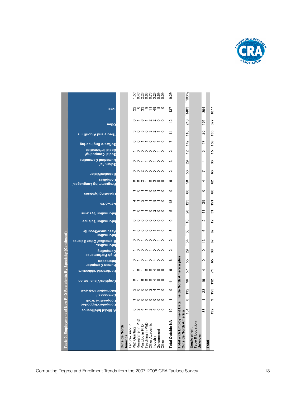

|                                                |                                 |                 | そうでんかい やくしょう こうこうしょう しょうしっこうしょう                                                |                |                 |                |         |            |       | 9.2%             |                                                       | 100%                         |                                         |                |       |               |
|------------------------------------------------|---------------------------------|-----------------|--------------------------------------------------------------------------------|----------------|-----------------|----------------|---------|------------|-------|------------------|-------------------------------------------------------|------------------------------|-----------------------------------------|----------------|-------|---------------|
| <b>IstoT</b>                                   |                                 |                 | ၛၟၑ <i>ၛ</i> ၟၜႜၟႍၛႍႍႍၜ <b>ႜ</b>                                               |                |                 |                |         |            |       | 137              |                                                       | 1483                         |                                         | 394            |       | 1877          |
| Other                                          |                                 |                 | $0 - 6 - 8 - 8$                                                                |                |                 |                |         |            |       | 으                |                                                       | 216                          |                                         | $\frac{6}{16}$ |       | 577           |
| <b>andinoglA</b> bns voedT                     |                                 |                 | nononn-o                                                                       |                |                 |                |         |            |       | 4                |                                                       | 116                          |                                         | ຊ              |       | 136           |
| <b>Software Engineering</b>                    |                                 |                 | $00 - 000 - 00$                                                                |                |                 |                |         |            |       | Ľ                |                                                       | 142                          |                                         | $\overline{1}$ |       | 159           |
| <b>Social Informatics</b><br>Social Computing/ |                                 |                 | - 00000-0                                                                      |                |                 |                |         |            |       | $\sim$           |                                                       | 57                           |                                         | S              |       | 15            |
| Numerical Computing<br><b>Scientific/</b>      |                                 |                 | 00-0-00                                                                        |                |                 |                |         |            |       | S                |                                                       | 29                           |                                         | 4              |       | 33            |
| <b>Robotics/Vision</b>                         |                                 |                 | 00N00000                                                                       |                |                 |                |         |            |       | $\sim$           |                                                       | 99                           |                                         | Ľ              |       | జ             |
| Compilers<br>Lrogramming Langues/              |                                 |                 | $00N + 000$                                                                    |                |                 |                |         |            |       | $\circ$          |                                                       | 38                           |                                         | 4              |       | ឌ             |
| Dperating Systems                              |                                 |                 | $O - - O$                                                                      |                |                 |                |         |            |       | တ                |                                                       | 60                           |                                         | ဖ              |       | 8             |
| Networks                                       |                                 |                 | $-0 - 0$                                                                       |                |                 |                |         |            |       | $\frac{8}{1}$    |                                                       | 123                          |                                         | 8              |       | 호             |
| Information Systems                            |                                 |                 | $O - 0$ $N$ $O$ $O$                                                            |                |                 |                |         |            |       | 5                |                                                       | 20                           |                                         | F              |       | స్            |
| Information Science                            |                                 |                 |                                                                                |                |                 |                |         |            |       | 0                |                                                       | S                            |                                         | $\sim$         |       | 12            |
| <b>Nssurance/Security</b><br>Information       |                                 |                 | - 0000- - 0                                                                    |                |                 |                |         |            |       | S                |                                                       | 56                           |                                         | စ              |       | ន             |
| Biomedica/ Other Science<br>Informatics:       |                                 |                 | $\circ\circ\circ\circ\circ\circ\circ$                                          |                |                 |                |         |            |       | $\sim$           |                                                       | R,                           |                                         | ౖ              |       | 5             |
| ნuḷාndɯoე<br>High-Performance                  |                                 |                 | $\begin{array}{c} \circ \circ \circ - \circ \circ \circ \end{array}$           |                |                 |                |         |            |       | $\sim$           |                                                       | 29                           |                                         | ₽              |       | ్లి           |
| Interaction<br>Human-Computer                  |                                 |                 | $0 - 0 - 0 + 00$                                                               |                |                 |                |         |            |       | $\circ$          |                                                       | 55                           |                                         | S              |       | အ             |
| Hardware/Architecture                          |                                 |                 | $0 - 00400$                                                                    |                |                 |                |         |            |       | ဖ                |                                                       | 57                           |                                         | 4              |       | ᠷ             |
| <b>noitssilsuaiVeoings1</b>                    |                                 |                 | $0 - 000400$                                                                   |                |                 |                |         |            |       | ニ                |                                                       | န္တ                          |                                         | $\frac{6}{5}$  |       | 112           |
| Information Retrieval<br>Databases /           |                                 |                 | N000N40                                                                        |                |                 |                |         |            |       | တ                |                                                       | 132                          |                                         | ನಿ             |       | 155           |
| Cooperative Work<br>Computer-Supported         |                                 |                 | $\begin{array}{c} \circ \circ \circ \circ \circ \circ \circ \circ \end{array}$ |                |                 |                |         |            |       |                  |                                                       | $\infty$                     |                                         |                |       | ග             |
| <b>Artificial Intelligence</b>                 |                                 |                 | $0.4 - 0.400$                                                                  |                |                 |                |         |            |       | e,               |                                                       |                              |                                         | 38             |       | $\frac{2}{3}$ |
|                                                | <b>Outside North</b><br>America | Tenure-Track in | PhD Granting<br>Researcher in PhD                                              | Postdoc in PhD | Teaching in PhD | Other Academic | ndustry | Government | Other | Total Outside NA | Total with Employment Data, Inside North America plus | Outside North America<br>154 | ype & Location<br>Employment<br>Inknown |                | Total |               |
|                                                |                                 |                 |                                                                                |                |                 |                |         |            |       |                  |                                                       |                              |                                         |                |       |               |

**Table 9. Employment of New PhD Recipients By Specialty (Continued)**

Table 9. Employment of New PhD Recipients By Specialty (Continued)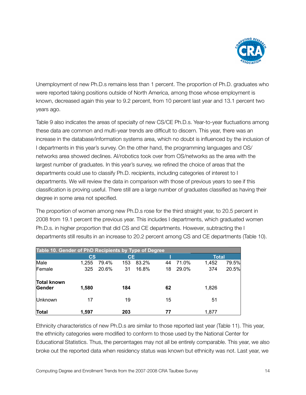

Unemployment of new Ph.D.s remains less than 1 percent. The proportion of Ph.D. graduates who were reported taking positions outside of North America, among those whose employment is known, decreased again this year to 9.2 percent, from 10 percent last year and 13.1 percent two years ago.

Table 9 also indicates the areas of specialty of new CS/CE Ph.D.s. Year-to-year fluctuations among these data are common and multi-year trends are difficult to discern. This year, there was an increase in the database/information systems area, which no doubt is influenced by the inclusion of I departments in this year's survey. On the other hand, the programming languages and OS/ networks area showed declines. AI/robotics took over from OS/networks as the area with the largest number of graduates. In this year's survey, we refined the choice of areas that the departments could use to classify Ph.D. recipients, including categories of interest to I departments. We will review the data in comparison with those of previous years to see if this classification is proving useful. There still are a large number of graduates classified as having their degree in some area not specified.

The proportion of women among new Ph.D.s rose for the third straight year, to 20.5 percent in 2008 from 19.1 percent the previous year. This includes I departments, which graduated women Ph.D.s. in higher proportion that did CS and CE departments. However, subtracting the I departments still results in an increase to 20.2 percent among CS and CE departments (Table 10).

| Table 10. Gender of PhD Recipients by Type of Degree |                        |       |              |       |    |       |       |       |
|------------------------------------------------------|------------------------|-------|--------------|-------|----|-------|-------|-------|
|                                                      | $\mathbf{c}\mathbf{s}$ |       | <b>Total</b> |       |    |       |       |       |
| Male                                                 | 1,255                  | 79.4% | 153          | 83.2% | 44 | 71.0% | 1,452 | 79.5% |
| Female                                               | 325                    | 20.6% | 31           | 16.8% | 18 | 29.0% | 374   | 20.5% |
| <b>Total known</b>                                   |                        |       |              |       |    |       |       |       |
| Gender                                               | 1,580                  |       | 184          |       | 62 |       | 1,826 |       |
| Unknown                                              | 17                     |       | 19           |       | 15 |       | 51    |       |
| Total                                                | 1,597                  |       | 203          |       | 77 |       | 1,877 |       |

Ethnicity characteristics of new Ph.D.s are similar to those reported last year (Table 11). This year, the ethnicity categories were modified to conform to those used by the National Center for Educational Statistics. Thus, the percentages may not all be entirely comparable. This year, we also broke out the reported data when residency status was known but ethnicity was not. Last year, we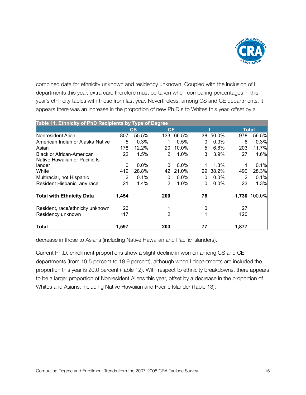

combined data for ethnicity unknown and residency unknown. Coupled with the inclusion of I departments this year, extra care therefore must be taken when comparing percentages in this year's ethnicity tables with those from last year. Nevertheless, among CS and CE departments, it appears there was an increase in the proportion of new Ph.D.s to Whites this year, offset by a

| Table 11. Ethnicity of PhD Recipients by Type of Degree |       |                        |                |         |    |         |       |              |
|---------------------------------------------------------|-------|------------------------|----------------|---------|----|---------|-------|--------------|
|                                                         |       | $\mathbf{c}\mathbf{s}$ | <b>CE</b>      |         |    |         |       | <b>Total</b> |
| Nonresident Alien                                       | 807   | 55.5%                  | 133            | 66.5%   | 38 | 50.0%   | 978   | 56.5%        |
| American Indian or Alaska Native                        | 5     | 0.3%                   |                | 0.5%    | 0  | 0.0%    | 6     | 0.3%         |
| Asian                                                   | 178   | 12.2%                  | 20             | 10.0%   | 5  | 6.6%    | 203   | 11.7%        |
| <b>Black or African-American</b>                        | 22    | 1.5%                   | 2              | 1.0%    | 3  | 3.9%    | 27    | 1.6%         |
| Native Hawaiian or Pacific Is-                          |       |                        |                |         |    |         |       |              |
| llander                                                 | 0     | $0.0\%$                | $\Omega$       | $0.0\%$ |    | 1.3%    |       | 0.1%         |
| White                                                   | 419   | 28.8%                  | 42             | 21.0%   | 29 | 38.2%   | 490   | 28.3%        |
| Multiracial, not Hispanic                               | 2     | 0.1%                   | 0              | $0.0\%$ | 0  | $0.0\%$ | 2     | 0.1%         |
| Resident Hispanic, any race                             | 21    | 1.4%                   | $\overline{2}$ | 1.0%    | 0  | 0.0%    | 23    | 1.3%         |
| <b>Total with Ethnicity Data</b>                        | 1,454 |                        | 200            |         | 76 |         | 1.730 | 100.0%       |
| Resident, race/ethnicity unknown                        | 26    |                        |                |         | 0  |         | 27    |              |
| Residency unknown                                       | 117   |                        | 2              |         |    |         | 120   |              |
| Total                                                   | 1,597 |                        | 203            |         | 77 |         | 1,877 |              |

decrease in those to Asians (including Native Hawaiian and Pacific Islanders).

Current Ph.D. enrollment proportions show a slight decline in women among CS and CE departments (from 19.5 percent to 18.9 percent), although when I departments are included the proportion this year is 20.0 percent (Table 12). With respect to ethnicity breakdowns, there appears to be a larger proportion of Nonresident Aliens this year, offset by a decrease in the proportion of Whites and Asians, including Native Hawaiian and Pacific Islander (Table 13).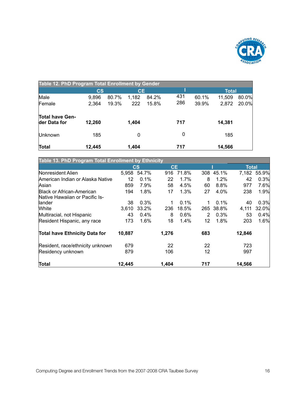

| Table 12. PhD Program Total Enrollment by Gender |                        |       |           |       |     |       |              |       |
|--------------------------------------------------|------------------------|-------|-----------|-------|-----|-------|--------------|-------|
|                                                  | $\mathbf{c}\mathbf{s}$ |       | <b>CE</b> |       |     |       | <b>Total</b> |       |
| Male                                             | 9,896                  | 80.7% | 1,182     | 84.2% | 431 | 60.1% | 11,509       | 80.0% |
| Female                                           | 2,364                  | 19.3% | 222       | 15.8% | 286 | 39.9% | 2,872        | 20.0% |
| <b>Total have Gen-</b><br>der Data for           | 12,260                 |       | 1.404     |       | 717 |       | 14,381       |       |
| <b>Unknown</b>                                   | 185                    |       | 0         |       | 0   |       | 185          |       |
| Total                                            | 12.445                 |       | 1.404     |       | 717 |       | 14,566       |       |

| Table 13. PhD Program Total Enrollment by Ethnicity |                        |       |           |         |     |       |              |       |
|-----------------------------------------------------|------------------------|-------|-----------|---------|-----|-------|--------------|-------|
|                                                     | $\mathbf{c}\mathbf{s}$ |       | <b>CE</b> |         |     |       | <b>Total</b> |       |
| Nonresident Alien                                   | 5,958                  | 54.7% | 916       | 71.8%   | 308 | 45.1% | 7,182        | 55.9% |
| American Indian or Alaska Native                    | 12                     | 0.1%  | 22        | 1.7%    | 8   | 1.2%  | 42           | 0.3%  |
| Asian                                               | 859                    | 7.9%  | 58        | 4.5%    | 60  | 8.8%  | 977          | 7.6%  |
| Black or African-American                           | 194                    | 1.8%  | 17        | 1.3%    | 27  | 4.0%  | 238          | 1.9%  |
| Native Hawaiian or Pacific Is-                      |                        |       |           |         |     |       |              |       |
| llander                                             | 38                     | 0.3%  |           | $0.1\%$ | 1   | 0.1%  | 40           | 0.3%  |
| <b>White</b>                                        | 3,610                  | 33.2% | 236       | 18.5%   | 265 | 38.8% | 4,111        | 32.0% |
| Multiracial, not Hispanic                           | 43                     | 0.4%  | 8         | 0.6%    | 2   | 0.3%  | 53           | 0.4%  |
| Resident Hispanic, any race                         | 173                    | 1.6%  | 18        | 1.4%    | 12  | 1.8%  | 203          | 1.6%  |
| <b>Total have Ethnicity Data for</b>                | 10,887                 |       | 1,276     |         | 683 |       | 12,846       |       |
| Resident, race/ethnicity unknown                    | 679                    |       | 22        |         | 22  |       | 723          |       |
| Residency unknown                                   | 879                    |       | 106       |         | 12  |       | 997          |       |
| Total                                               | 12,445                 |       | 1,404     |         | 717 |       | 14,566       |       |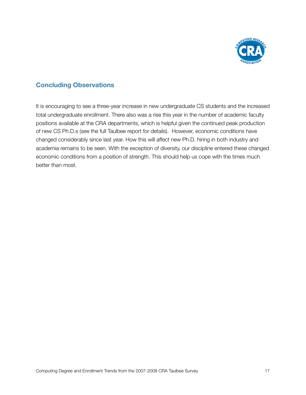

### **Concluding Observations**

It is encouraging to see a three-year increase in new undergraduate CS students and the increased total undergraduate enrollment. There also was a rise this year in the number of academic faculty positions available at the CRA departments, which is helpful given the continued peak production of new CS Ph.D.s (see the full Taulbee report for details). However, economic conditions have changed considerably since last year. How this will affect new Ph.D. hiring in both industry and academia remains to be seen. With the exception of diversity, our discipline entered these changed economic conditions from a position of strength. This should help us cope with the times much better than most.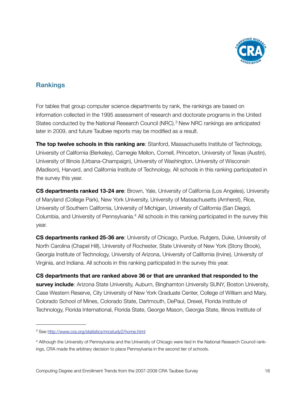

# **Rankings**

For tables that group computer science departments by rank, the rankings are based on information collected in the 1995 assessment of research and doctorate programs in the United States conducted by the National Research Council (NRC).<sup>3</sup> New NRC rankings are anticipated later in 2009, and future Taulbee reports may be modified as a result.

**The top twelve schools in this ranking are**: Stanford, Massachusetts Institute of Technology, University of California (Berkeley), Carnegie Mellon, Cornell, Princeton, University of Texas (Austin), University of Illinois (Urbana-Champaign), University of Washington, University of Wisconsin (Madison), Harvard, and California Institute of Technology. All schools in this ranking participated in the survey this year.

**CS departments ranked 13-24 are**: Brown, Yale, University of California (Los Angeles), University of Maryland (College Park), New York University, University of Massachusetts (Amherst), Rice, University of Southern California, University of Michigan, University of California (San Diego), Columbia, and University of Pennsylvania.<sup>4</sup> All schools in this ranking participated in the survey this year.

**CS departments ranked 25-36 are**: University of Chicago, Purdue, Rutgers, Duke, University of North Carolina (Chapel Hill), University of Rochester, State University of New York (Stony Brook), Georgia Institute of Technology, University of Arizona, University of California (Irvine), University of Virginia, and Indiana. All schools in this ranking participated in the survey this year.

**CS departments that are ranked above 36 or that are unranked that responded to the survey include**: Arizona State University, Auburn, Binghamton University SUNY, Boston University, Case Western Reserve, City University of New York Graduate Center, College of William and Mary, Colorado School of Mines, Colorado State, Dartmouth, DePaul, Drexel, Florida Institute of Technology, Florida International, Florida State, George Mason, Georgia State, Illinois Institute of

<span id="page-18-0"></span><sup>3</sup> See<http://www.cra.org/statistics/nrcstudy2/home.html>

<span id="page-18-1"></span><sup>4</sup> Although the University of Pennsylvania and the University of Chicago were tied in the National Research Council rankings, CRA made the arbitrary decision to place Pennsylvania in the second tier of schools.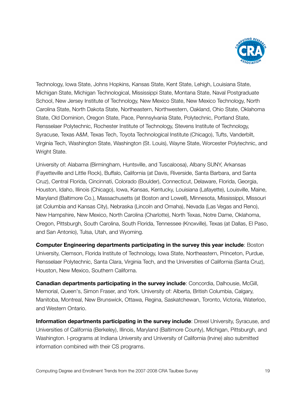

Technology, Iowa State, Johns Hopkins, Kansas State, Kent State, Lehigh, Louisiana State, Michigan State, Michigan Technological, Mississippi State, Montana State, Naval Postgraduate School, New Jersey Institute of Technology, New Mexico State, New Mexico Technology, North Carolina State, North Dakota State, Northeastern, Northwestern, Oakland, Ohio State, Oklahoma State, Old Dominion, Oregon State, Pace, Pennsylvania State, Polytechnic, Portland State, Rensselaer Polytechnic, Rochester Institute of Technology, Stevens Institute of Technology, Syracuse, Texas A&M, Texas Tech, Toyota Technological Institute (Chicago), Tufts, Vanderbilt, Virginia Tech, Washington State, Washington (St. Louis), Wayne State, Worcester Polytechnic, and Wright State.

University of: Alabama (Birmingham, Huntsville, and Tuscaloosa), Albany SUNY, Arkansas (Fayetteville and Little Rock), Buffalo, California (at Davis, Riverside, Santa Barbara, and Santa Cruz), Central Florida, Cincinnati, Colorado (Boulder), Connecticut, Delaware, Florida, Georgia, Houston, Idaho, Illinois (Chicago), Iowa, Kansas, Kentucky, Louisiana (Lafayette), Louisville, Maine, Maryland (Baltimore Co.), Massachusetts (at Boston and Lowell), Minnesota, Mississippi, Missouri (at Columbia and Kansas City), Nebraska (Lincoln and Omaha), Nevada (Las Vegas and Reno), New Hampshire, New Mexico, North Carolina (Charlotte), North Texas, Notre Dame, Oklahoma, Oregon, Pittsburgh, South Carolina, South Florida, Tennessee (Knoxville), Texas (at Dallas, El Paso, and San Antonio), Tulsa, Utah, and Wyoming.

**Computer Engineering departments participating in the survey this year include**: Boston University, Clemson, Florida Institute of Technology, Iowa State, Northeastern, Princeton, Purdue, Rensselaer Polytechnic, Santa Clara, Virginia Tech, and the Universities of California (Santa Cruz), Houston, New Mexico, Southern Californa.

**Canadian departments participating in the survey include**: Concordia, Dalhousie, McGill, Memorial, Queen's, Simon Fraser, and York. University of: Alberta, British Columbia, Calgary, Manitoba, Montreal, New Brunswick, Ottawa, Regina, Saskatchewan, Toronto, Victoria, Waterloo, and Western Ontario.

**Information departments participating in the survey include**: Drexel University, Syracuse, and Universities of California (Berkeley), Illinois, Maryland (Baltimore County), Michigan, Pittsburgh, and Washington. I-programs at Indiana University and University of California (Irvine) also submitted information combined with their CS programs.